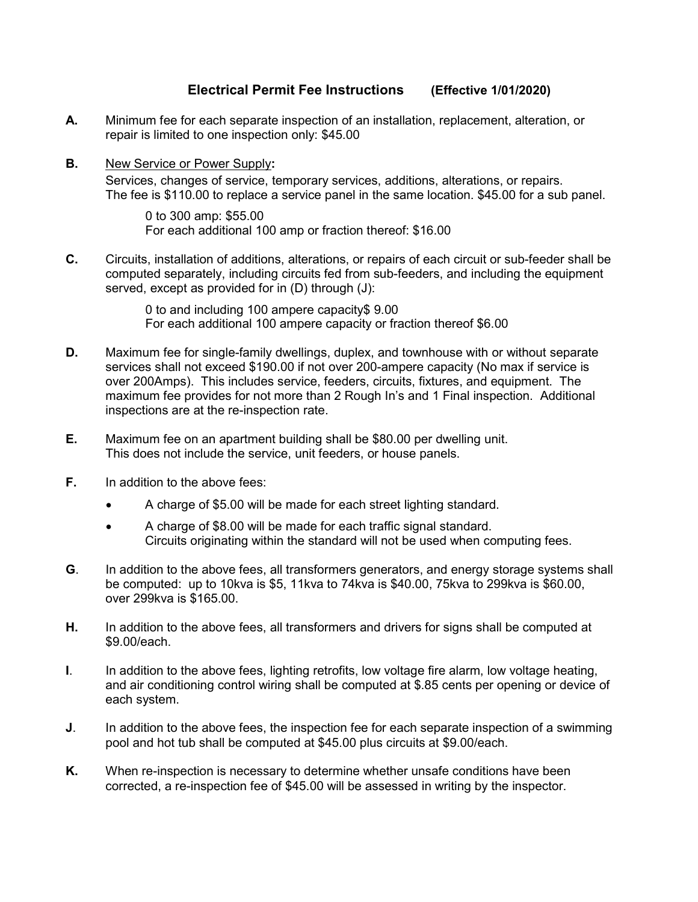## Electrical Permit Fee Instructions (Effective 1/01/2020)

- A. Minimum fee for each separate inspection of an installation, replacement, alteration, or repair is limited to one inspection only: \$45.00
- **B.** New Service or Power Supply: Services, changes of service, temporary services, additions, alterations, or repairs. The fee is \$110.00 to replace a service panel in the same location. \$45.00 for a sub panel.

 0 to 300 amp: \$55.00 For each additional 100 amp or fraction thereof: \$16.00

C. Circuits, installation of additions, alterations, or repairs of each circuit or sub-feeder shall be computed separately, including circuits fed from sub-feeders, and including the equipment served, except as provided for in (D) through (J):

> 0 to and including 100 ampere capacity\$ 9.00 For each additional 100 ampere capacity or fraction thereof \$6.00

- D. Maximum fee for single-family dwellings, duplex, and townhouse with or without separate services shall not exceed \$190.00 if not over 200-ampere capacity (No max if service is over 200Amps). This includes service, feeders, circuits, fixtures, and equipment. The maximum fee provides for not more than 2 Rough In's and 1 Final inspection. Additional inspections are at the re-inspection rate.
- E. Maximum fee on an apartment building shall be \$80.00 per dwelling unit. This does not include the service, unit feeders, or house panels.
- **F.** In addition to the above fees:
	- A charge of \$5.00 will be made for each street lighting standard.
	- A charge of \$8.00 will be made for each traffic signal standard. Circuits originating within the standard will not be used when computing fees.
- G. In addition to the above fees, all transformers generators, and energy storage systems shall be computed: up to 10kva is \$5, 11kva to 74kva is \$40.00, 75kva to 299kva is \$60.00, over 299kva is \$165.00.
- H. In addition to the above fees, all transformers and drivers for signs shall be computed at \$9.00/each.
- I. In addition to the above fees, lighting retrofits, low voltage fire alarm, low voltage heating, and air conditioning control wiring shall be computed at \$.85 cents per opening or device of each system.
- J. In addition to the above fees, the inspection fee for each separate inspection of a swimming pool and hot tub shall be computed at \$45.00 plus circuits at \$9.00/each.
- K. When re-inspection is necessary to determine whether unsafe conditions have been corrected, a re-inspection fee of \$45.00 will be assessed in writing by the inspector.